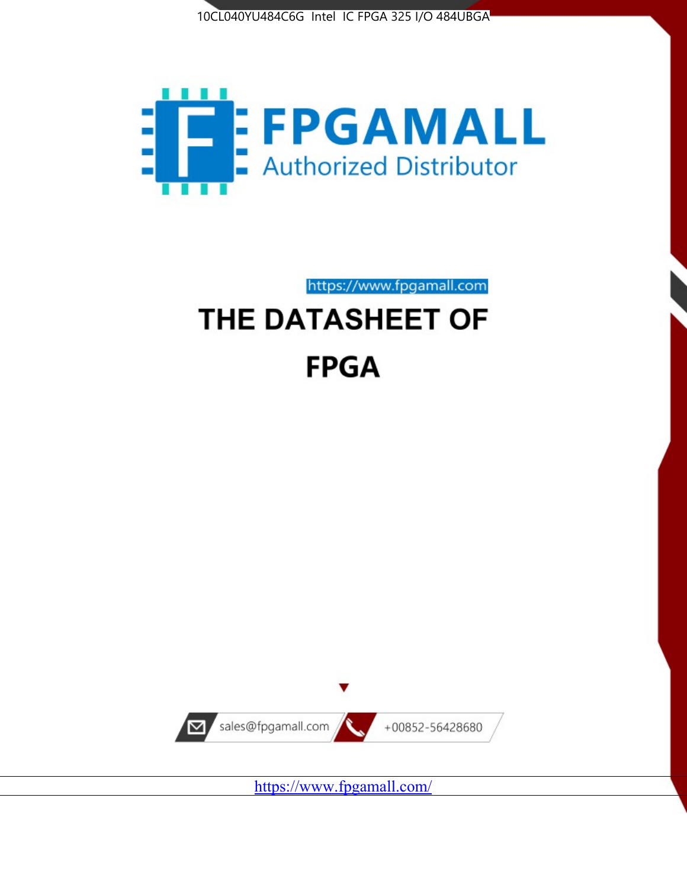



https://www.fpgamall.com

# THE DATASHEET OF **FPGA**



https://www.fpgamall.com/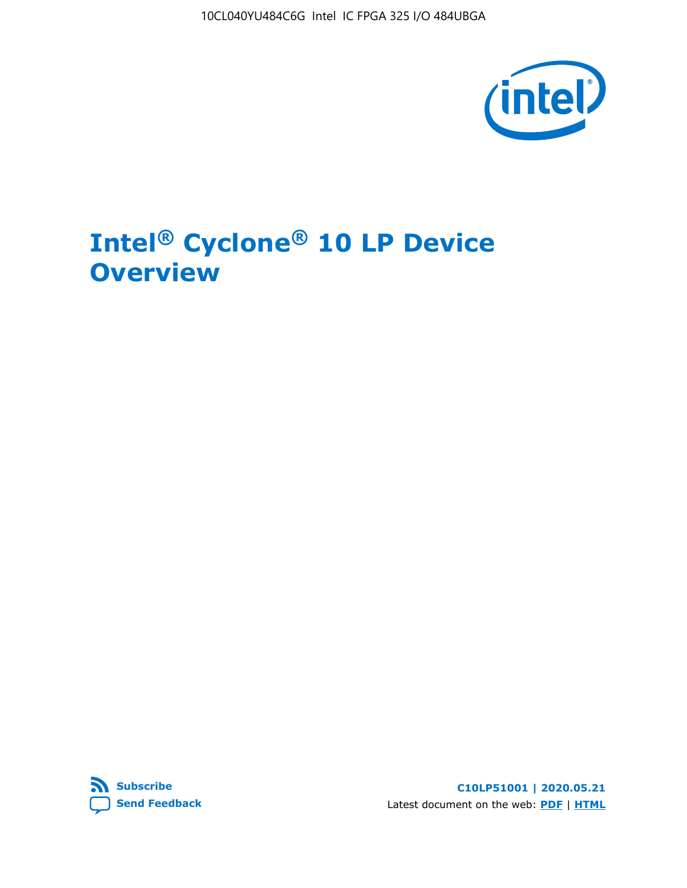10CL040YU484C6G Intel IC FPGA 325 I/O 484UBGA



# **Intel® Cyclone® 10 LP Device Overview**



**C10LP51001 | 2020.05.21** Latest document on the web: **[PDF](https://www.intel.com/content/dam/www/programmable/us/en/pdfs/literature/hb/cyclone-10/c10lp-51001.pdf)** | **[HTML](https://www.intel.com/content/www/us/en/programmable/documentation/hci1490246873896.html)**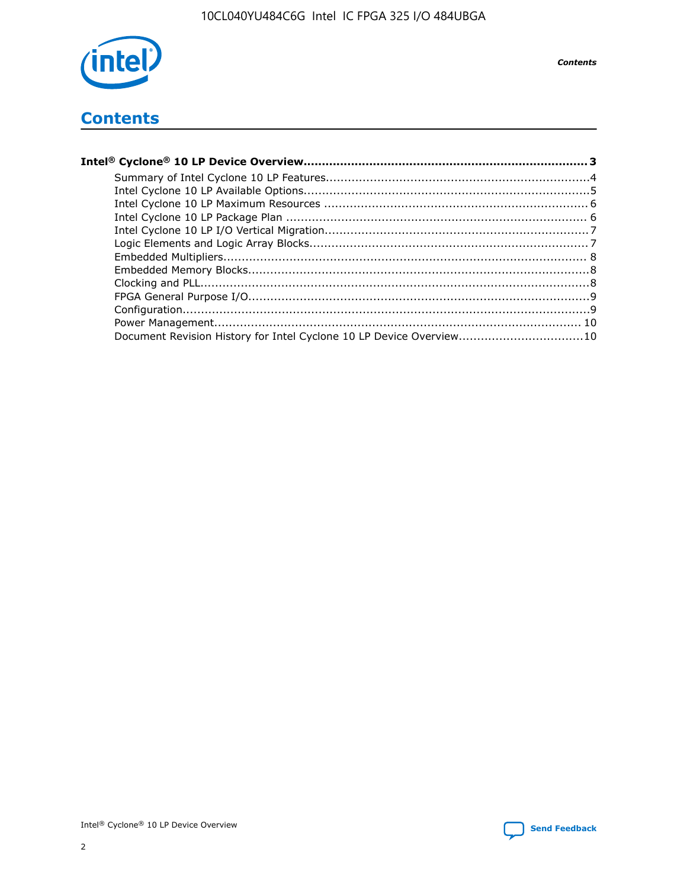

**Contents** 

## **Contents**

| Document Revision History for Intel Cyclone 10 LP Device Overview10 |  |
|---------------------------------------------------------------------|--|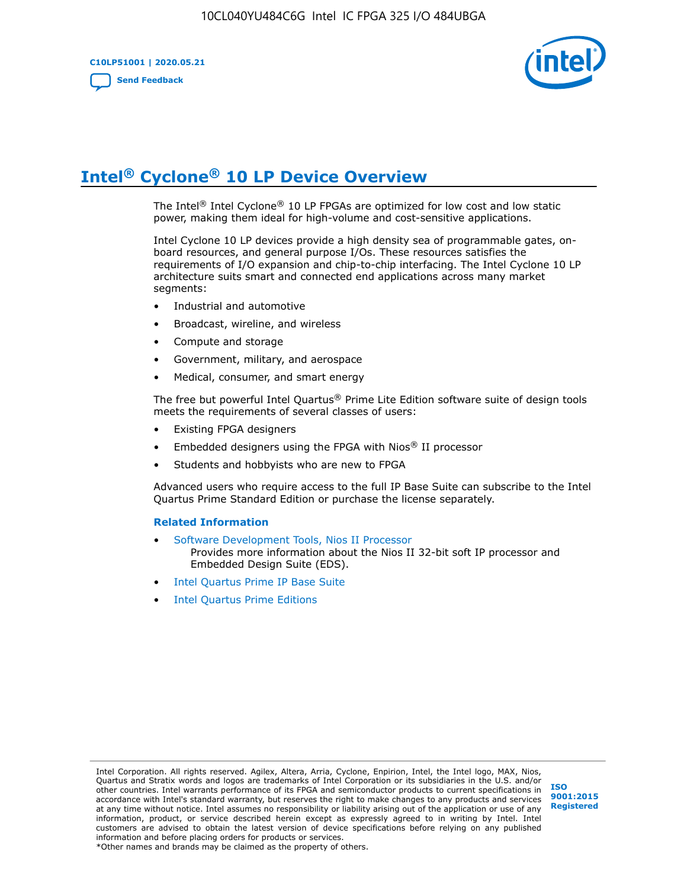**C10LP51001 | 2020.05.21 [Send Feedback](mailto:FPGAtechdocfeedback@intel.com?subject=Feedback%20on%20Intel%20Cyclone%2010%20LP%20Device%20Overview%20(C10LP51001%202020.05.21)&body=We%20appreciate%20your%20feedback.%20In%20your%20comments,%20also%20specify%20the%20page%20number%20or%20paragraph.%20Thank%20you.)**



# **Intel® Cyclone® 10 LP Device Overview**

The Intel® Intel Cyclone® 10 LP FPGAs are optimized for low cost and low static power, making them ideal for high-volume and cost-sensitive applications.

Intel Cyclone 10 LP devices provide a high density sea of programmable gates, onboard resources, and general purpose I/Os. These resources satisfies the requirements of I/O expansion and chip-to-chip interfacing. The Intel Cyclone 10 LP architecture suits smart and connected end applications across many market segments:

- Industrial and automotive
- Broadcast, wireline, and wireless
- Compute and storage
- Government, military, and aerospace
- Medical, consumer, and smart energy

The free but powerful Intel Quartus® Prime Lite Edition software suite of design tools meets the requirements of several classes of users:

- Existing FPGA designers
- Embedded designers using the FPGA with Nios® II processor
- Students and hobbyists who are new to FPGA

Advanced users who require access to the full IP Base Suite can subscribe to the Intel Quartus Prime Standard Edition or purchase the license separately.

#### **Related Information**

- [Software Development Tools, Nios II Processor](https://www.altera.com/products/processors/design-tools.html) Provides more information about the Nios II 32-bit soft IP processor and Embedded Design Suite (EDS).
- [Intel Quartus Prime IP Base Suite](https://www.altera.com/products/intellectual-property/design/ip-base-suite.html)
- **[Intel Quartus Prime Editions](https://www.altera.com/products/design-software/fpga-design/quartus-prime/download.html)**

Intel Corporation. All rights reserved. Agilex, Altera, Arria, Cyclone, Enpirion, Intel, the Intel logo, MAX, Nios, Quartus and Stratix words and logos are trademarks of Intel Corporation or its subsidiaries in the U.S. and/or other countries. Intel warrants performance of its FPGA and semiconductor products to current specifications in accordance with Intel's standard warranty, but reserves the right to make changes to any products and services at any time without notice. Intel assumes no responsibility or liability arising out of the application or use of any information, product, or service described herein except as expressly agreed to in writing by Intel. Intel customers are advised to obtain the latest version of device specifications before relying on any published information and before placing orders for products or services. \*Other names and brands may be claimed as the property of others.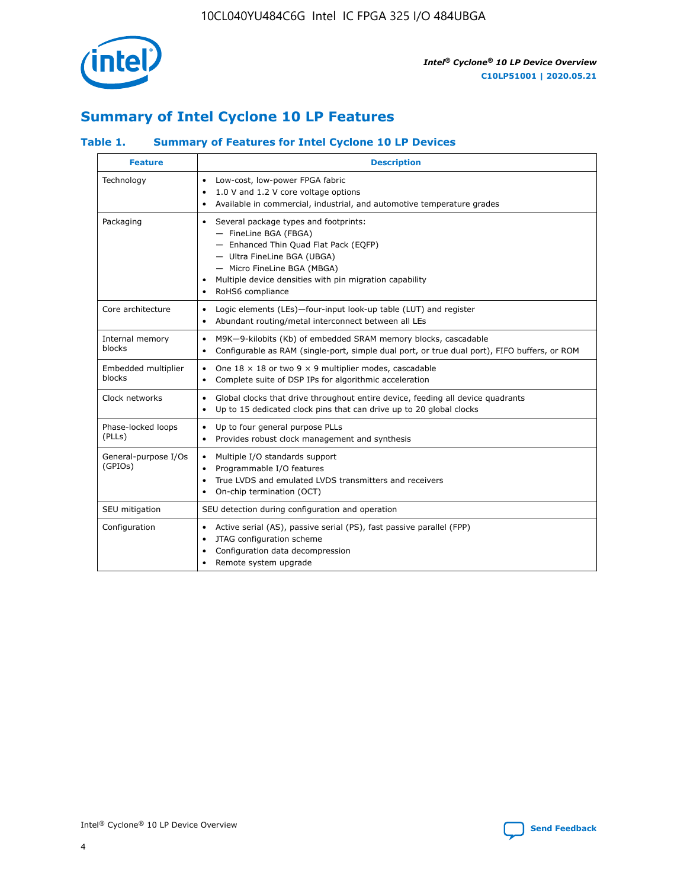

## **Summary of Intel Cyclone 10 LP Features**

### **Table 1. Summary of Features for Intel Cyclone 10 LP Devices**

| <b>Feature</b>                  | <b>Description</b>                                                                                                                                                                                                                                        |
|---------------------------------|-----------------------------------------------------------------------------------------------------------------------------------------------------------------------------------------------------------------------------------------------------------|
| Technology                      | Low-cost, low-power FPGA fabric<br>$\bullet$<br>1.0 V and 1.2 V core voltage options<br>Available in commercial, industrial, and automotive temperature grades                                                                                            |
| Packaging                       | Several package types and footprints:<br>٠<br>- FineLine BGA (FBGA)<br>- Enhanced Thin Quad Flat Pack (EQFP)<br>- Ultra FineLine BGA (UBGA)<br>- Micro FineLine BGA (MBGA)<br>Multiple device densities with pin migration capability<br>RoHS6 compliance |
| Core architecture               | Logic elements (LEs)-four-input look-up table (LUT) and register<br>٠<br>Abundant routing/metal interconnect between all LEs<br>٠                                                                                                                         |
| Internal memory<br>blocks       | M9K-9-kilobits (Kb) of embedded SRAM memory blocks, cascadable<br>$\bullet$<br>Configurable as RAM (single-port, simple dual port, or true dual port), FIFO buffers, or ROM<br>$\bullet$                                                                  |
| Embedded multiplier<br>blocks   | One $18 \times 18$ or two 9 $\times$ 9 multiplier modes, cascadable<br>$\bullet$<br>Complete suite of DSP IPs for algorithmic acceleration<br>$\bullet$                                                                                                   |
| Clock networks                  | Global clocks that drive throughout entire device, feeding all device quadrants<br>٠<br>Up to 15 dedicated clock pins that can drive up to 20 global clocks<br>$\bullet$                                                                                  |
| Phase-locked loops<br>(PLLs)    | Up to four general purpose PLLs<br>٠<br>Provides robust clock management and synthesis<br>$\bullet$                                                                                                                                                       |
| General-purpose I/Os<br>(GPIOs) | Multiple I/O standards support<br>$\bullet$<br>Programmable I/O features<br>٠<br>True LVDS and emulated LVDS transmitters and receivers<br>$\bullet$<br>On-chip termination (OCT)<br>٠                                                                    |
| SEU mitigation                  | SEU detection during configuration and operation                                                                                                                                                                                                          |
| Configuration                   | Active serial (AS), passive serial (PS), fast passive parallel (FPP)<br>$\bullet$<br>JTAG configuration scheme<br>$\bullet$<br>Configuration data decompression<br>Remote system upgrade<br>٠                                                             |

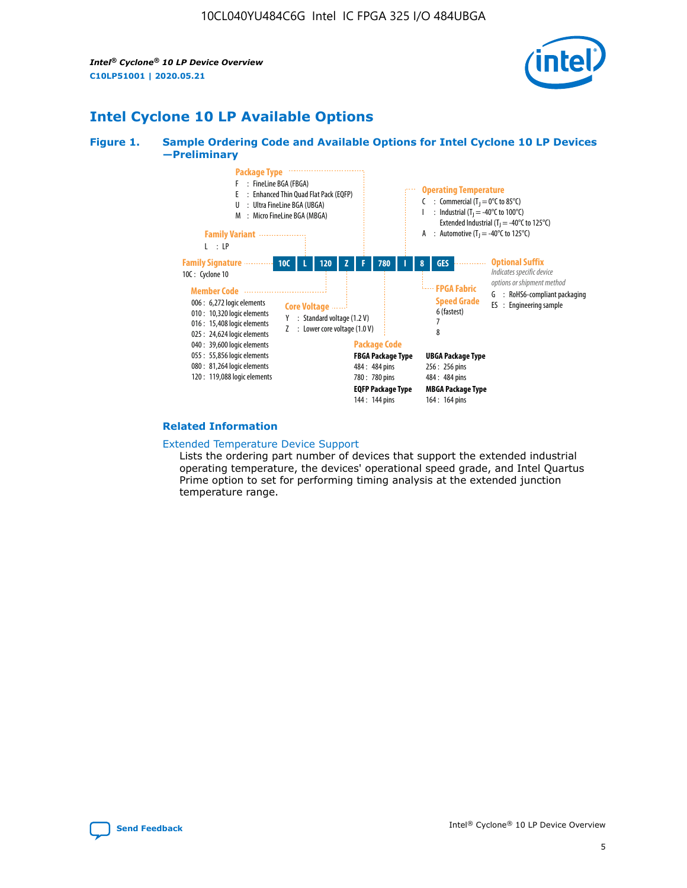*Intel® Cyclone® 10 LP Device Overview* **C10LP51001 | 2020.05.21**



## **Intel Cyclone 10 LP Available Options**

#### **Figure 1. Sample Ordering Code and Available Options for Intel Cyclone 10 LP Devices —Preliminary**



#### **Related Information**

[Extended Temperature Device Support](https://www.intel.com/content/www/us/en/products/programmable/temperature.html)

Lists the ordering part number of devices that support the extended industrial operating temperature, the devices' operational speed grade, and Intel Quartus Prime option to set for performing timing analysis at the extended junction temperature range.

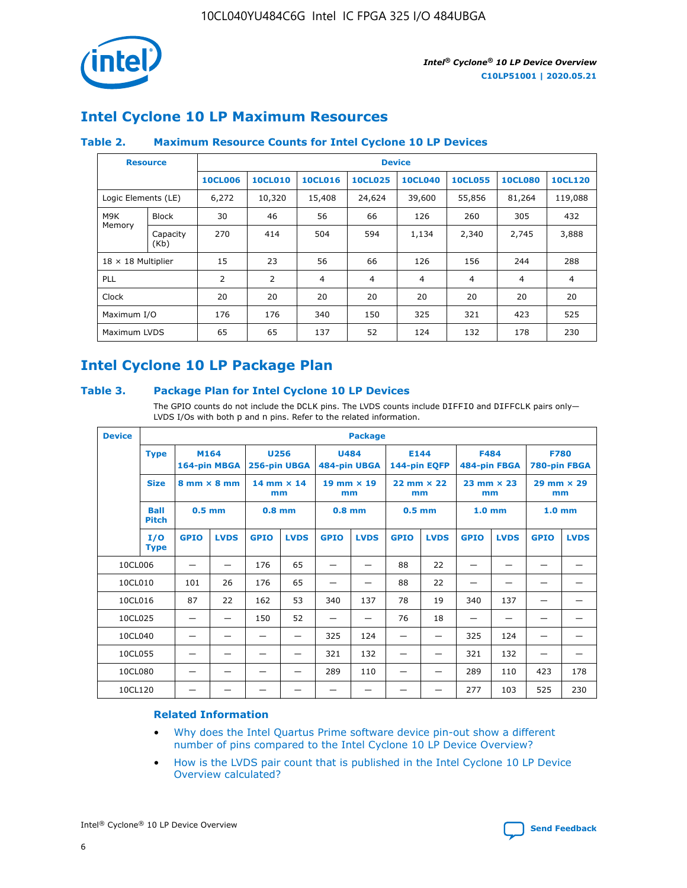

## **Intel Cyclone 10 LP Maximum Resources**

### **Table 2. Maximum Resource Counts for Intel Cyclone 10 LP Devices**

|                           | <b>Resource</b>  | <b>Device</b>  |                |                |                |                |                |                |                |
|---------------------------|------------------|----------------|----------------|----------------|----------------|----------------|----------------|----------------|----------------|
|                           |                  | <b>10CL006</b> | <b>10CL010</b> | <b>10CL016</b> | <b>10CL025</b> | <b>10CL040</b> | <b>10CL055</b> | <b>10CL080</b> | <b>10CL120</b> |
| Logic Elements (LE)       |                  | 6,272          | 10,320         | 15,408         | 24,624         | 39,600         | 55,856         | 81,264         | 119,088        |
| M9K                       | <b>Block</b>     | 30             | 46             | 56             | 66             | 126            | 260            | 305            | 432            |
| Memory                    | Capacity<br>(Kb) | 270            | 414            | 504            | 594            | 1,134          | 2,340          | 2,745          | 3,888          |
| $18 \times 18$ Multiplier |                  | 15             | 23             | 56             | 66             | 126            | 156            | 244            | 288            |
| <b>PLL</b>                |                  | 2              | 2              | 4              | 4              | $\overline{4}$ | 4              | $\overline{4}$ | 4              |
| Clock                     |                  | 20             | 20             | 20             | 20             | 20             | 20             | 20             | 20             |
| Maximum I/O               |                  | 176            | 176            | 340            | 150            | 325            | 321            | 423            | 525            |
| Maximum LVDS              |                  | 65             | 65             | 137            | 52             | 124            | 132            | 178            | 230            |

## **Intel Cyclone 10 LP Package Plan**

#### **Table 3. Package Plan for Intel Cyclone 10 LP Devices**

The GPIO counts do not include the DCLK pins. The LVDS counts include DIFFIO and DIFFCLK pairs only-LVDS I/Os with both p and n pins. Refer to the related information.

| <b>Device</b> | <b>Package</b>                      |                                    |              |                           |                             |                           |                      |                           |             |                           |                             |                           |             |
|---------------|-------------------------------------|------------------------------------|--------------|---------------------------|-----------------------------|---------------------------|----------------------|---------------------------|-------------|---------------------------|-----------------------------|---------------------------|-------------|
|               | M164<br><b>Type</b><br>164-pin MBGA |                                    | 256-pin UBGA | <b>U256</b>               | <b>U484</b><br>484-pin UBGA |                           | E144<br>144-pin EQFP |                           | <b>F484</b> | 484-pin FBGA              | <b>F780</b><br>780-pin FBGA |                           |             |
|               | <b>Size</b>                         | $8 \text{ mm} \times 8 \text{ mm}$ |              | $14$ mm $\times$ 14<br>mm |                             | $19$ mm $\times$ 19<br>mm |                      | $22$ mm $\times$ 22<br>mm |             | $23$ mm $\times$ 23<br>mm |                             | $29$ mm $\times$ 29<br>mm |             |
|               | <b>Ball</b><br><b>Pitch</b>         | $0.5$ mm                           |              | $0.8$ mm                  |                             | $0.8$ mm                  |                      | $0.5$ mm                  |             | 1.0 <sub>mm</sub>         |                             | 1.0 <sub>mm</sub>         |             |
|               | I/O<br><b>Type</b>                  | <b>GPIO</b>                        | <b>LVDS</b>  | <b>GPIO</b>               | <b>LVDS</b>                 | <b>GPIO</b>               | <b>LVDS</b>          | <b>GPIO</b>               | <b>LVDS</b> | <b>GPIO</b>               | <b>LVDS</b>                 | <b>GPIO</b>               | <b>LVDS</b> |
| 10CL006       |                                     |                                    |              | 176                       | 65                          |                           |                      | 88                        | 22          |                           |                             |                           |             |
| 10CL010       |                                     | 101                                | 26           | 176                       | 65                          |                           |                      | 88                        | 22          |                           |                             |                           |             |
| 10CL016       |                                     | 87                                 | 22           | 162                       | 53                          | 340                       | 137                  | 78                        | 19          | 340                       | 137                         |                           |             |
| 10CL025       |                                     | —                                  | —            | 150                       | 52                          | —                         |                      | 76                        | 18          | -                         | —                           |                           |             |
| 10CL040       |                                     |                                    |              |                           |                             | 325                       | 124                  |                           |             | 325                       | 124                         |                           |             |
| 10CL055       |                                     |                                    |              |                           |                             | 321                       | 132                  |                           |             | 321                       | 132                         |                           |             |
| 10CL080       |                                     |                                    |              |                           |                             | 289                       | 110                  |                           |             | 289                       | 110                         | 423                       | 178         |
| 10CL120       |                                     |                                    |              |                           |                             |                           |                      |                           |             | 277                       | 103                         | 525                       | 230         |

#### **Related Information**

- [Why does the Intel Quartus Prime software device pin-out show a different](https://www.intel.com/content/altera-www/global/en_us/index/support/support-resources/knowledge-base/component/2020/why-does-intel--quartus--device-pinout-pin-count-shows-a-differe0.html) [number of pins compared to the Intel Cyclone 10 LP Device Overview?](https://www.intel.com/content/altera-www/global/en_us/index/support/support-resources/knowledge-base/component/2020/why-does-intel--quartus--device-pinout-pin-count-shows-a-differe0.html)
- [How is the LVDS pair count that is published in the Intel Cyclone 10 LP Device](https://www.intel.com/content/altera-www/global/en_us/index/support/support-resources/knowledge-base/component/2020/how-is-the-lvds-pair-count-in-intel--cyclone--10-device-overview.html) [Overview calculated?](https://www.intel.com/content/altera-www/global/en_us/index/support/support-resources/knowledge-base/component/2020/how-is-the-lvds-pair-count-in-intel--cyclone--10-device-overview.html)



Intel<sup>®</sup> Cyclone<sup>®</sup> 10 LP Device Overview **[Send Feedback](mailto:FPGAtechdocfeedback@intel.com?subject=Feedback%20on%20Intel%20Cyclone%2010%20LP%20Device%20Overview%20(C10LP51001%202020.05.21)&body=We%20appreciate%20your%20feedback.%20In%20your%20comments,%20also%20specify%20the%20page%20number%20or%20paragraph.%20Thank%20you.)** Send Feedback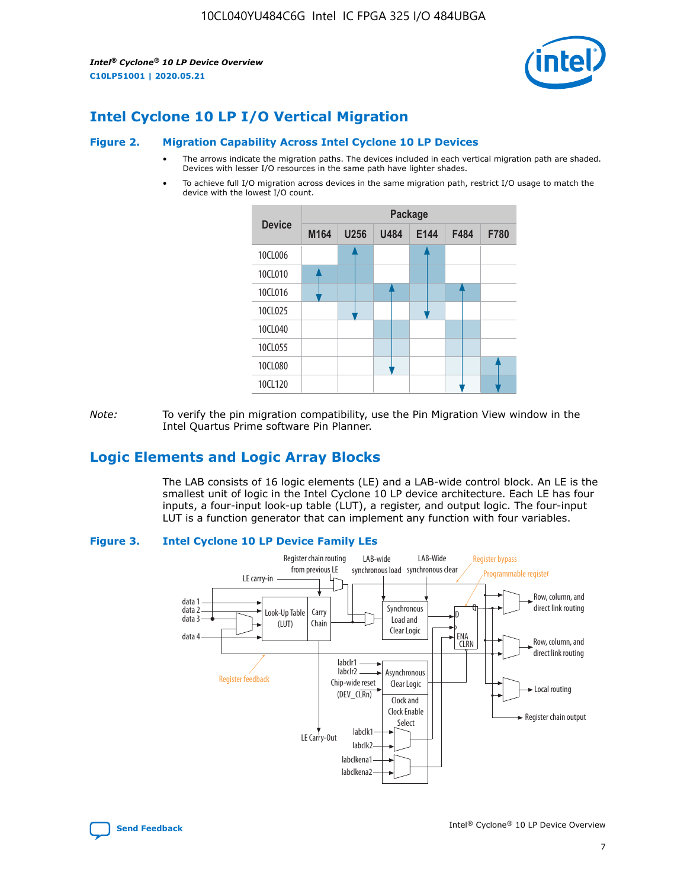*Intel® Cyclone® 10 LP Device Overview* **C10LP51001 | 2020.05.21**



## **Intel Cyclone 10 LP I/O Vertical Migration**

#### **Figure 2. Migration Capability Across Intel Cyclone 10 LP Devices**

- The arrows indicate the migration paths. The devices included in each vertical migration path are shaded. Devices with lesser I/O resources in the same path have lighter shades.
- To achieve full I/O migration across devices in the same migration path, restrict I/O usage to match the device with the lowest I/O count.



*Note:* To verify the pin migration compatibility, use the Pin Migration View window in the Intel Quartus Prime software Pin Planner.

## **Logic Elements and Logic Array Blocks**

The LAB consists of 16 logic elements (LE) and a LAB-wide control block. An LE is the smallest unit of logic in the Intel Cyclone 10 LP device architecture. Each LE has four inputs, a four-input look-up table (LUT), a register, and output logic. The four-input LUT is a function generator that can implement any function with four variables.

#### **Figure 3. Intel Cyclone 10 LP Device Family LEs**



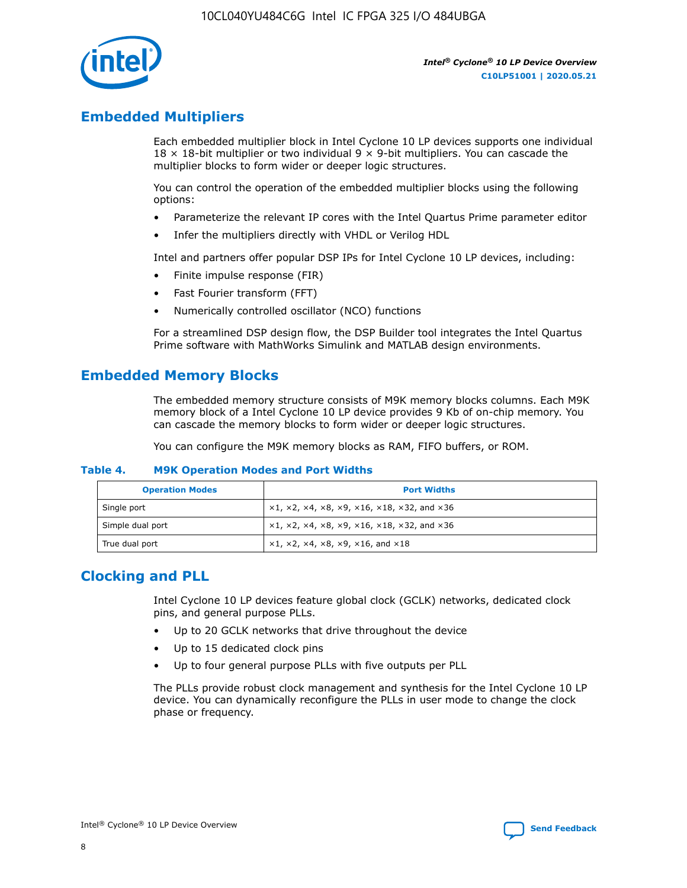

## **Embedded Multipliers**

Each embedded multiplier block in Intel Cyclone 10 LP devices supports one individual  $18 \times 18$ -bit multiplier or two individual 9  $\times$  9-bit multipliers. You can cascade the multiplier blocks to form wider or deeper logic structures.

You can control the operation of the embedded multiplier blocks using the following options:

- Parameterize the relevant IP cores with the Intel Quartus Prime parameter editor
- Infer the multipliers directly with VHDL or Verilog HDL

Intel and partners offer popular DSP IPs for Intel Cyclone 10 LP devices, including:

- Finite impulse response (FIR)
- Fast Fourier transform (FFT)
- Numerically controlled oscillator (NCO) functions

For a streamlined DSP design flow, the DSP Builder tool integrates the Intel Quartus Prime software with MathWorks Simulink and MATLAB design environments.

## **Embedded Memory Blocks**

The embedded memory structure consists of M9K memory blocks columns. Each M9K memory block of a Intel Cyclone 10 LP device provides 9 Kb of on-chip memory. You can cascade the memory blocks to form wider or deeper logic structures.

You can configure the M9K memory blocks as RAM, FIFO buffers, or ROM.

#### **Table 4. M9K Operation Modes and Port Widths**

| <b>Operation Modes</b> | <b>Port Widths</b>                           |
|------------------------|----------------------------------------------|
| Single port            | $x1, x2, x4, x8, x9, x16, x18, x32, and x36$ |
| Simple dual port       | $x1, x2, x4, x8, x9, x16, x18, x32, and x36$ |
| True dual port         | x1, x2, x4, x8, x9, x16, and x18             |

## **Clocking and PLL**

Intel Cyclone 10 LP devices feature global clock (GCLK) networks, dedicated clock pins, and general purpose PLLs.

- Up to 20 GCLK networks that drive throughout the device
- Up to 15 dedicated clock pins
- Up to four general purpose PLLs with five outputs per PLL

The PLLs provide robust clock management and synthesis for the Intel Cyclone 10 LP device. You can dynamically reconfigure the PLLs in user mode to change the clock phase or frequency.

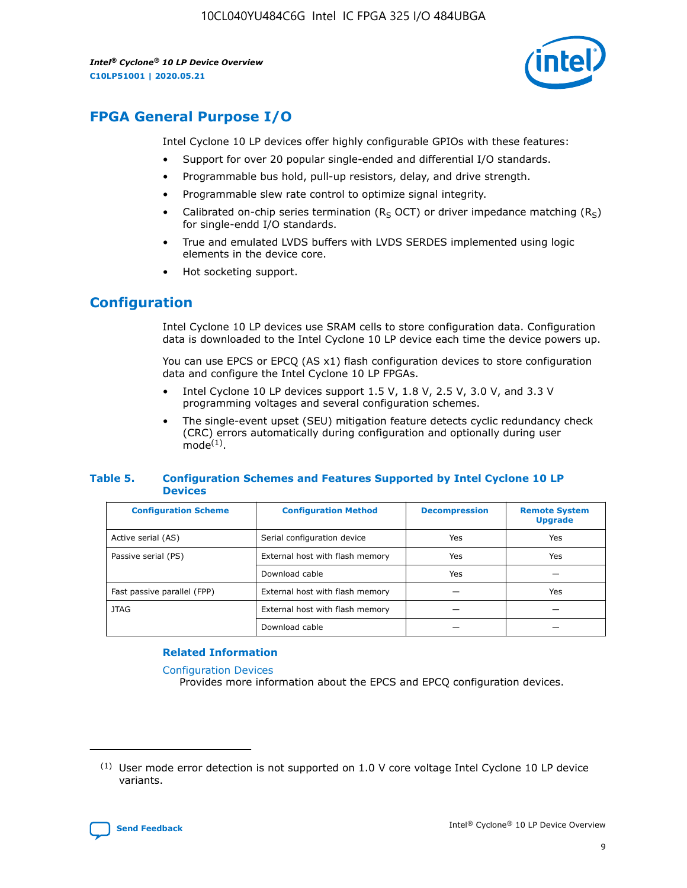*Intel® Cyclone® 10 LP Device Overview* **C10LP51001 | 2020.05.21**



## **FPGA General Purpose I/O**

Intel Cyclone 10 LP devices offer highly configurable GPIOs with these features:

- Support for over 20 popular single-ended and differential I/O standards.
- Programmable bus hold, pull-up resistors, delay, and drive strength.
- Programmable slew rate control to optimize signal integrity.
- Calibrated on-chip series termination ( $R<sub>S</sub>$  OCT) or driver impedance matching ( $R<sub>S</sub>$ ) for single-endd I/O standards.
- True and emulated LVDS buffers with LVDS SERDES implemented using logic elements in the device core.
- Hot socketing support.

## **Configuration**

Intel Cyclone 10 LP devices use SRAM cells to store configuration data. Configuration data is downloaded to the Intel Cyclone 10 LP device each time the device powers up.

You can use EPCS or EPCQ (AS x1) flash configuration devices to store configuration data and configure the Intel Cyclone 10 LP FPGAs.

- Intel Cyclone 10 LP devices support 1.5 V, 1.8 V, 2.5 V, 3.0 V, and 3.3 V programming voltages and several configuration schemes.
- The single-event upset (SEU) mitigation feature detects cyclic redundancy check (CRC) errors automatically during configuration and optionally during user  $mode<sup>(1)</sup>$ .

#### **Table 5. Configuration Schemes and Features Supported by Intel Cyclone 10 LP Devices**

| <b>Configuration Scheme</b> | <b>Configuration Method</b>     | <b>Decompression</b> | <b>Remote System</b><br><b>Upgrade</b> |  |
|-----------------------------|---------------------------------|----------------------|----------------------------------------|--|
| Active serial (AS)          | Serial configuration device     | Yes                  | Yes                                    |  |
| Passive serial (PS)         | External host with flash memory | Yes                  | Yes                                    |  |
|                             | Download cable                  | Yes                  |                                        |  |
| Fast passive parallel (FPP) | External host with flash memory |                      | Yes                                    |  |
| JTAG                        | External host with flash memory |                      |                                        |  |
|                             | Download cable                  |                      |                                        |  |

#### **Related Information**

[Configuration Devices](https://www.altera.com/products/configuration-devices/overview.html)

Provides more information about the EPCS and EPCQ configuration devices.

 $(1)$  User mode error detection is not supported on 1.0 V core voltage Intel Cyclone 10 LP device variants.

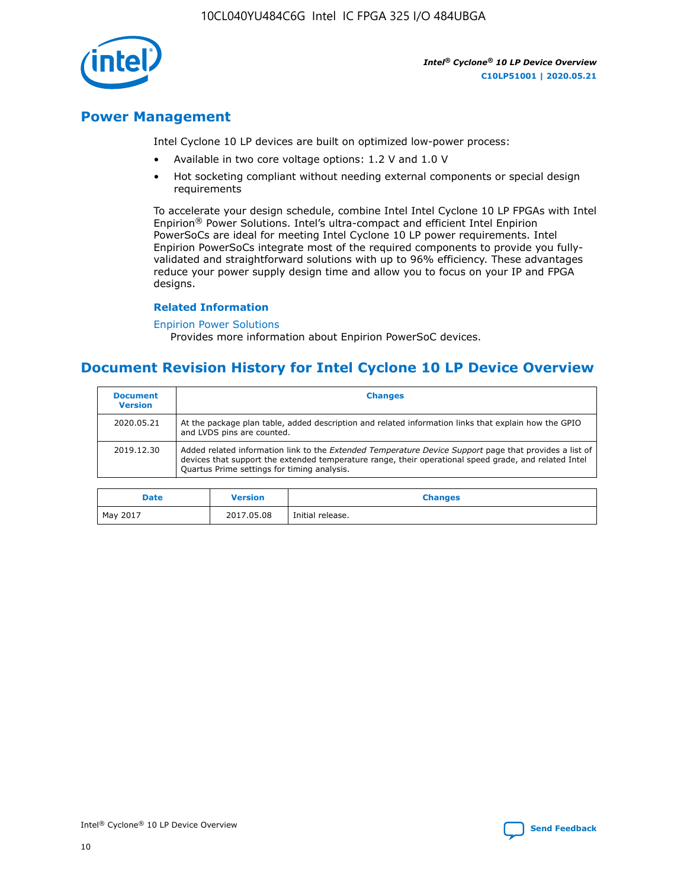10CL040YU484C6G Intel IC FPGA 325 I/O 484UBGA



*Intel® Cyclone® 10 LP Device Overview* **C10LP51001 | 2020.05.21**

## **Power Management**

Intel Cyclone 10 LP devices are built on optimized low-power process:

- Available in two core voltage options: 1.2 V and 1.0 V
- Hot socketing compliant without needing external components or special design requirements

To accelerate your design schedule, combine Intel Intel Cyclone 10 LP FPGAs with Intel Enpirion® Power Solutions. Intel's ultra-compact and efficient Intel Enpirion PowerSoCs are ideal for meeting Intel Cyclone 10 LP power requirements. Intel Enpirion PowerSoCs integrate most of the required components to provide you fullyvalidated and straightforward solutions with up to 96% efficiency. These advantages reduce your power supply design time and allow you to focus on your IP and FPGA designs.

#### **Related Information**

#### [Enpirion Power Solutions](https://www.altera.com/products/power/devices.html)

Provides more information about Enpirion PowerSoC devices.

## **Document Revision History for Intel Cyclone 10 LP Device Overview**

| <b>Document</b><br><b>Version</b> | <b>Changes</b>                                                                                                                                                                                                                                                        |
|-----------------------------------|-----------------------------------------------------------------------------------------------------------------------------------------------------------------------------------------------------------------------------------------------------------------------|
| 2020.05.21                        | At the package plan table, added description and related information links that explain how the GPIO<br>and LVDS pins are counted.                                                                                                                                    |
| 2019.12.30                        | Added related information link to the <i>Extended Temperature Device Support</i> page that provides a list of<br>devices that support the extended temperature range, their operational speed grade, and related Intel<br>Quartus Prime settings for timing analysis. |

| <b>Date</b> | <b>Version</b> | <b>Changes</b>   |
|-------------|----------------|------------------|
| May 2017    | 2017.05.08     | Initial release. |